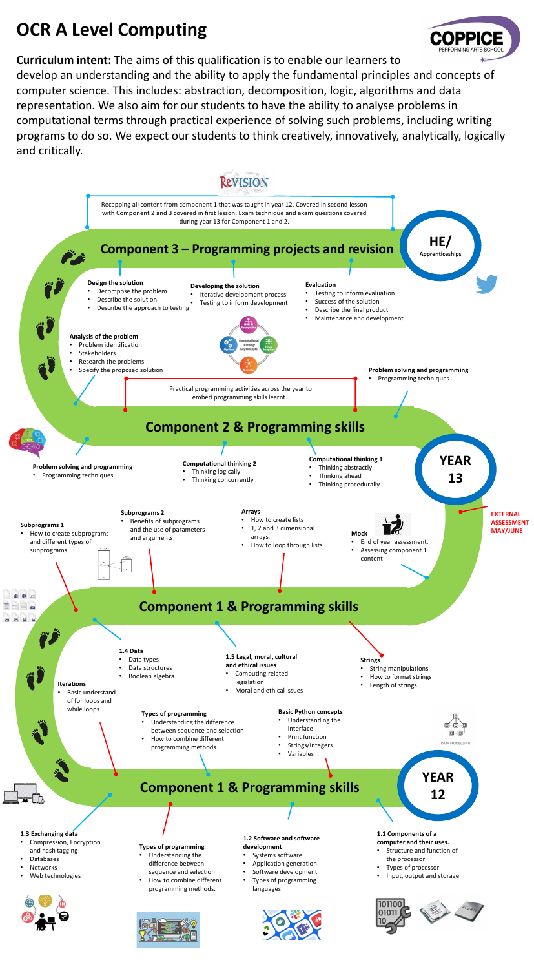## **OCR A Level Computing**

**Curriculum intent:** The aims of this qualification is to enable our learners to develop an understanding and the ability to apply the fundamental principles and concepts of computer science. This includes: abstraction, decomposition, logic, algorithms and data representation. We also aim for our students to have the ability to analyse problems in computational terms through practical experience of solving such problems, including writing programs to do so. We expect our students to think creatively, innovatively, analytically, logically and critically.